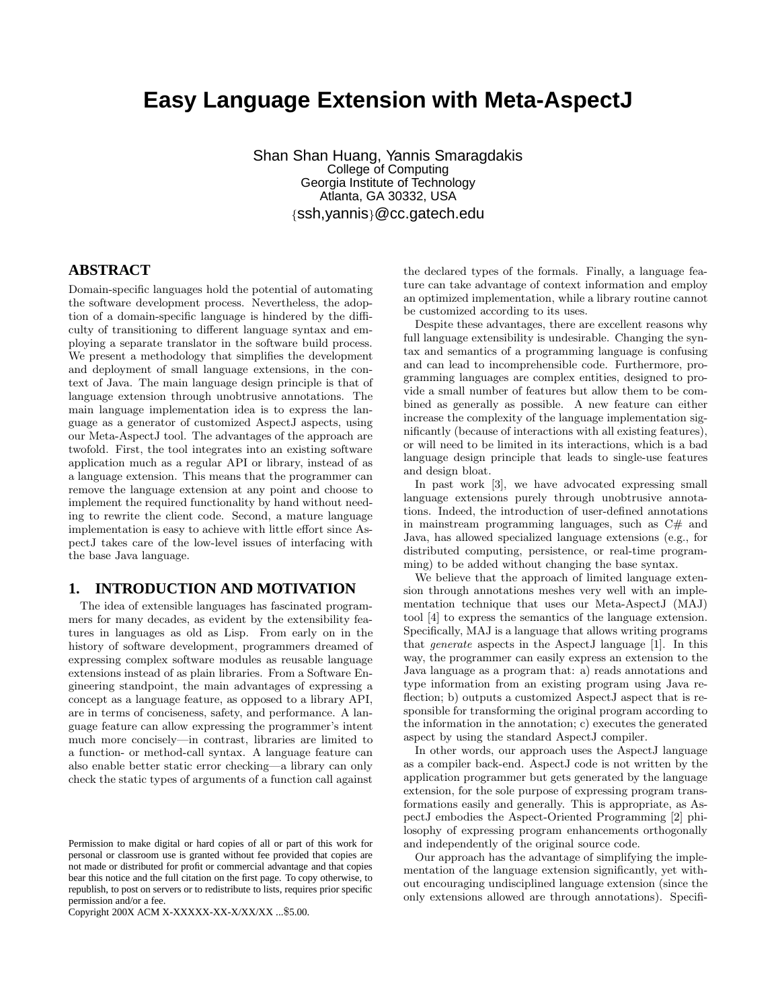# **Easy Language Extension with Meta-AspectJ**

Shan Shan Huang, Yannis Smaragdakis College of Computing Georgia Institute of Technology Atlanta, GA 30332, USA {ssh,yannis}@cc.gatech.edu

#### **ABSTRACT**

Domain-specific languages hold the potential of automating the software development process. Nevertheless, the adoption of a domain-specific language is hindered by the difficulty of transitioning to different language syntax and employing a separate translator in the software build process. We present a methodology that simplifies the development and deployment of small language extensions, in the context of Java. The main language design principle is that of language extension through unobtrusive annotations. The main language implementation idea is to express the language as a generator of customized AspectJ aspects, using our Meta-AspectJ tool. The advantages of the approach are twofold. First, the tool integrates into an existing software application much as a regular API or library, instead of as a language extension. This means that the programmer can remove the language extension at any point and choose to implement the required functionality by hand without needing to rewrite the client code. Second, a mature language implementation is easy to achieve with little effort since AspectJ takes care of the low-level issues of interfacing with the base Java language.

### **1. INTRODUCTION AND MOTIVATION**

The idea of extensible languages has fascinated programmers for many decades, as evident by the extensibility features in languages as old as Lisp. From early on in the history of software development, programmers dreamed of expressing complex software modules as reusable language extensions instead of as plain libraries. From a Software Engineering standpoint, the main advantages of expressing a concept as a language feature, as opposed to a library API, are in terms of conciseness, safety, and performance. A language feature can allow expressing the programmer's intent much more concisely—in contrast, libraries are limited to a function- or method-call syntax. A language feature can also enable better static error checking—a library can only check the static types of arguments of a function call against

Copyright 200X ACM X-XXXXX-XX-X/XX/XX ...\$5.00.

the declared types of the formals. Finally, a language feature can take advantage of context information and employ an optimized implementation, while a library routine cannot be customized according to its uses.

Despite these advantages, there are excellent reasons why full language extensibility is undesirable. Changing the syntax and semantics of a programming language is confusing and can lead to incomprehensible code. Furthermore, programming languages are complex entities, designed to provide a small number of features but allow them to be combined as generally as possible. A new feature can either increase the complexity of the language implementation significantly (because of interactions with all existing features), or will need to be limited in its interactions, which is a bad language design principle that leads to single-use features and design bloat.

In past work [3], we have advocated expressing small language extensions purely through unobtrusive annotations. Indeed, the introduction of user-defined annotations in mainstream programming languages, such as C# and Java, has allowed specialized language extensions (e.g., for distributed computing, persistence, or real-time programming) to be added without changing the base syntax.

We believe that the approach of limited language extension through annotations meshes very well with an implementation technique that uses our Meta-AspectJ (MAJ) tool [4] to express the semantics of the language extension. Specifically, MAJ is a language that allows writing programs that generate aspects in the AspectJ language [1]. In this way, the programmer can easily express an extension to the Java language as a program that: a) reads annotations and type information from an existing program using Java reflection; b) outputs a customized AspectJ aspect that is responsible for transforming the original program according to the information in the annotation; c) executes the generated aspect by using the standard AspectJ compiler.

In other words, our approach uses the AspectJ language as a compiler back-end. AspectJ code is not written by the application programmer but gets generated by the language extension, for the sole purpose of expressing program transformations easily and generally. This is appropriate, as AspectJ embodies the Aspect-Oriented Programming [2] philosophy of expressing program enhancements orthogonally and independently of the original source code.

Our approach has the advantage of simplifying the implementation of the language extension significantly, yet without encouraging undisciplined language extension (since the only extensions allowed are through annotations). Specifi-

Permission to make digital or hard copies of all or part of this work for personal or classroom use is granted without fee provided that copies are not made or distributed for profit or commercial advantage and that copies bear this notice and the full citation on the first page. To copy otherwise, to republish, to post on servers or to redistribute to lists, requires prior specific permission and/or a fee.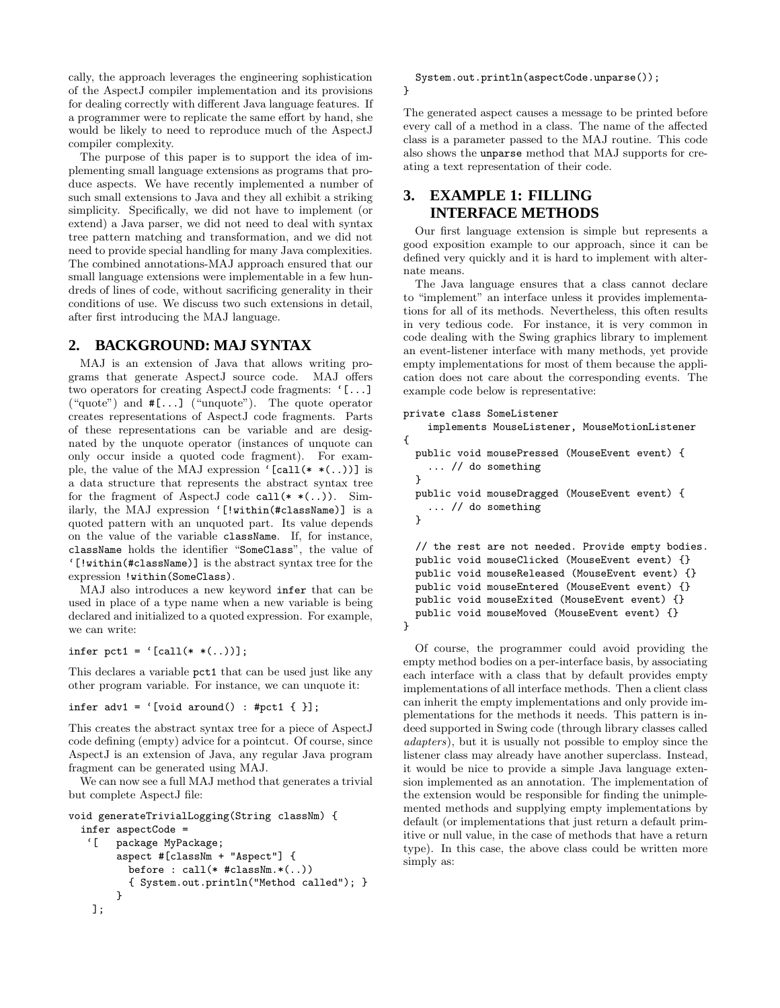cally, the approach leverages the engineering sophistication of the AspectJ compiler implementation and its provisions for dealing correctly with different Java language features. If a programmer were to replicate the same effort by hand, she would be likely to need to reproduce much of the AspectJ compiler complexity.

The purpose of this paper is to support the idea of implementing small language extensions as programs that produce aspects. We have recently implemented a number of such small extensions to Java and they all exhibit a striking simplicity. Specifically, we did not have to implement (or extend) a Java parser, we did not need to deal with syntax tree pattern matching and transformation, and we did not need to provide special handling for many Java complexities. The combined annotations-MAJ approach ensured that our small language extensions were implementable in a few hundreds of lines of code, without sacrificing generality in their conditions of use. We discuss two such extensions in detail, after first introducing the MAJ language.

#### **2. BACKGROUND: MAJ SYNTAX**

MAJ is an extension of Java that allows writing programs that generate AspectJ source code. MAJ offers two operators for creating AspectJ code fragments: '[...] ("quote") and #[...] ("unquote"). The quote operator creates representations of AspectJ code fragments. Parts of these representations can be variable and are designated by the unquote operator (instances of unquote can only occur inside a quoted code fragment). For example, the value of the MAJ expression '[call(\*  $*(...)$ ] is a data structure that represents the abstract syntax tree for the fragment of AspectJ code call  $(* (*).))$ . Similarly, the MAJ expression '[!within(#className)] is a quoted pattern with an unquoted part. Its value depends on the value of the variable className. If, for instance, className holds the identifier "SomeClass", the value of '[!within(#className)] is the abstract syntax tree for the expression !within(SomeClass).

MAJ also introduces a new keyword infer that can be used in place of a type name when a new variable is being declared and initialized to a quoted expression. For example, we can write:

infer pct1 =  $'$ [call(\* \*(..))];

This declares a variable pct1 that can be used just like any other program variable. For instance, we can unquote it:

```
infer adv1 = '[void around() : #pct1 { }];
```
This creates the abstract syntax tree for a piece of AspectJ code defining (empty) advice for a pointcut. Of course, since AspectJ is an extension of Java, any regular Java program fragment can be generated using MAJ.

We can now see a full MAJ method that generates a trivial but complete AspectJ file:

```
void generateTrivialLogging(String classNm) {
 infer aspectCode =
   '[ package MyPackage;
        aspect #[classNm + "Aspect"] {
          before : call(* #classNm.*(..))
          { System.out.println("Method called"); }
        }
   ];
```
System.out.println(aspectCode.unparse());

```
}
```
The generated aspect causes a message to be printed before every call of a method in a class. The name of the affected class is a parameter passed to the MAJ routine. This code also shows the unparse method that MAJ supports for creating a text representation of their code.

## **3. EXAMPLE 1: FILLING INTERFACE METHODS**

Our first language extension is simple but represents a good exposition example to our approach, since it can be defined very quickly and it is hard to implement with alternate means.

The Java language ensures that a class cannot declare to "implement" an interface unless it provides implementations for all of its methods. Nevertheless, this often results in very tedious code. For instance, it is very common in code dealing with the Swing graphics library to implement an event-listener interface with many methods, yet provide empty implementations for most of them because the application does not care about the corresponding events. The example code below is representative:

```
private class SomeListener
    implements MouseListener, MouseMotionListener
{
  public void mousePressed (MouseEvent event) {
    ... // do something
  }
  public void mouseDragged (MouseEvent event) {
    ... // do something
  \mathbf{I}// the rest are not needed. Provide empty bodies.
  public void mouseClicked (MouseEvent event) {}
  public void mouseReleased (MouseEvent event) {}
  public void mouseEntered (MouseEvent event) {}
  public void mouseExited (MouseEvent event) {}
 public void mouseMoved (MouseEvent event) {}
}
```
Of course, the programmer could avoid providing the empty method bodies on a per-interface basis, by associating each interface with a class that by default provides empty implementations of all interface methods. Then a client class can inherit the empty implementations and only provide implementations for the methods it needs. This pattern is indeed supported in Swing code (through library classes called adapters), but it is usually not possible to employ since the listener class may already have another superclass. Instead, it would be nice to provide a simple Java language extension implemented as an annotation. The implementation of the extension would be responsible for finding the unimplemented methods and supplying empty implementations by default (or implementations that just return a default primitive or null value, in the case of methods that have a return type). In this case, the above class could be written more simply as: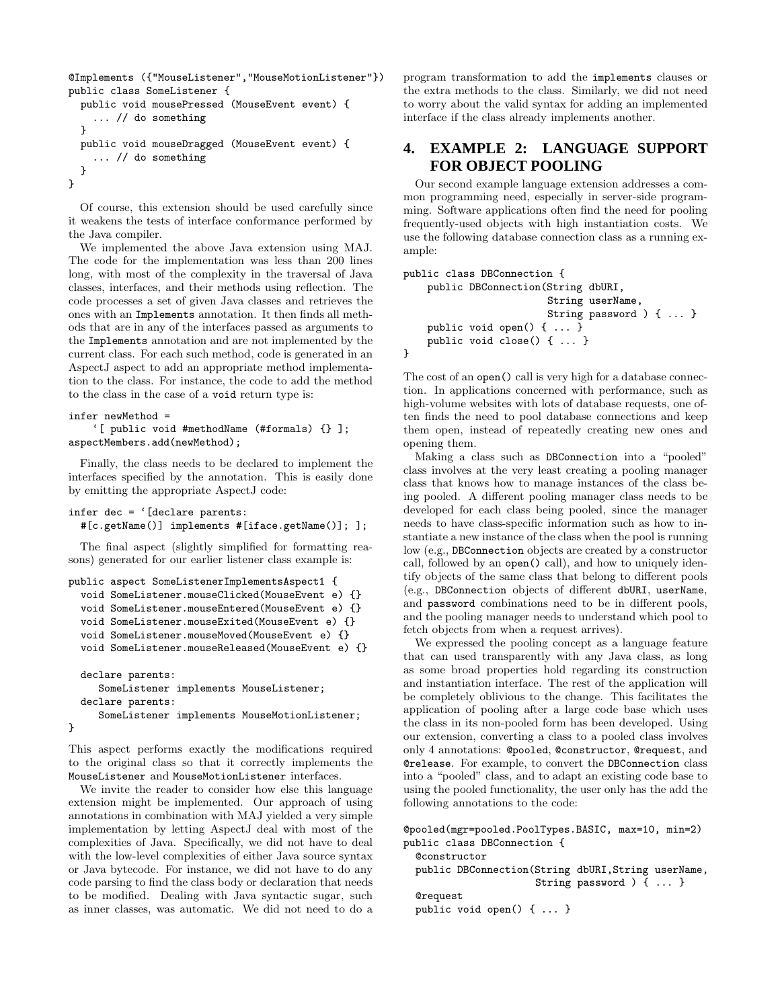```
@Implements ({"MouseListener","MouseMotionListener"})
public class SomeListener {
 public void mousePressed (MouseEvent event) {
    ... // do something
  }
 public void mouseDragged (MouseEvent event) {
    ... // do something
 }
}
```
Of course, this extension should be used carefully since it weakens the tests of interface conformance performed by the Java compiler.

We implemented the above Java extension using MAJ. The code for the implementation was less than 200 lines long, with most of the complexity in the traversal of Java classes, interfaces, and their methods using reflection. The code processes a set of given Java classes and retrieves the ones with an Implements annotation. It then finds all methods that are in any of the interfaces passed as arguments to the Implements annotation and are not implemented by the current class. For each such method, code is generated in an AspectJ aspect to add an appropriate method implementation to the class. For instance, the code to add the method to the class in the case of a void return type is:

#### infer newMethod =

```
'[ public void #methodName (#formals) {} ];
aspectMembers.add(newMethod);
```
Finally, the class needs to be declared to implement the interfaces specified by the annotation. This is easily done by emitting the appropriate AspectJ code:

```
infer dec = '[declare parents:
 #[c.getName()] implements #[iface.getName()]; ];
```
The final aspect (slightly simplified for formatting reasons) generated for our earlier listener class example is:

```
public aspect SomeListenerImplementsAspect1 {
 void SomeListener.mouseClicked(MouseEvent e) {}
 void SomeListener.mouseEntered(MouseEvent e) {}
 void SomeListener.mouseExited(MouseEvent e) {}
 void SomeListener.mouseMoved(MouseEvent e) {}
 void SomeListener.mouseReleased(MouseEvent e) {}
 declare parents:
     SomeListener implements MouseListener;
 declare parents:
     SomeListener implements MouseMotionListener;
```

```
}
```
This aspect performs exactly the modifications required to the original class so that it correctly implements the MouseListener and MouseMotionListener interfaces.

We invite the reader to consider how else this language extension might be implemented. Our approach of using annotations in combination with MAJ yielded a very simple implementation by letting AspectJ deal with most of the complexities of Java. Specifically, we did not have to deal with the low-level complexities of either Java source syntax or Java bytecode. For instance, we did not have to do any code parsing to find the class body or declaration that needs to be modified. Dealing with Java syntactic sugar, such as inner classes, was automatic. We did not need to do a

program transformation to add the implements clauses or the extra methods to the class. Similarly, we did not need to worry about the valid syntax for adding an implemented interface if the class already implements another.

### **4. EXAMPLE 2: LANGUAGE SUPPORT FOR OBJECT POOLING**

Our second example language extension addresses a common programming need, especially in server-side programming. Software applications often find the need for pooling frequently-used objects with high instantiation costs. We use the following database connection class as a running example:

```
public class DBConnection {
    public DBConnection(String dbURI,
                        String userName,
                        String password ) { ... }
    public void open() { ... }
    public void close() { ... }
}
```
The cost of an open() call is very high for a database connection. In applications concerned with performance, such as high-volume websites with lots of database requests, one often finds the need to pool database connections and keep them open, instead of repeatedly creating new ones and opening them.

Making a class such as DBConnection into a "pooled" class involves at the very least creating a pooling manager class that knows how to manage instances of the class being pooled. A different pooling manager class needs to be developed for each class being pooled, since the manager needs to have class-specific information such as how to instantiate a new instance of the class when the pool is running low (e.g., DBConnection objects are created by a constructor call, followed by an open() call), and how to uniquely identify objects of the same class that belong to different pools (e.g., DBConnection objects of different dbURI, userName, and password combinations need to be in different pools, and the pooling manager needs to understand which pool to fetch objects from when a request arrives).

We expressed the pooling concept as a language feature that can used transparently with any Java class, as long as some broad properties hold regarding its construction and instantiation interface. The rest of the application will be completely oblivious to the change. This facilitates the application of pooling after a large code base which uses the class in its non-pooled form has been developed. Using our extension, converting a class to a pooled class involves only 4 annotations: @pooled, @constructor, @request, and @release. For example, to convert the DBConnection class into a "pooled" class, and to adapt an existing code base to using the pooled functionality, the user only has the add the following annotations to the code:

@pooled(mgr=pooled.PoolTypes.BASIC, max=10, min=2) public class DBConnection {

**@constructor** public DBConnection(String dbURI,String userName, String password ) { ... }

#### @request

public void open() { ... }